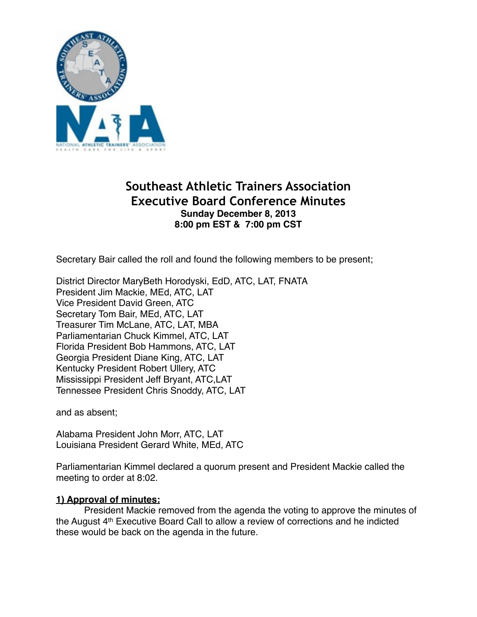

# **Southeast Athletic Trainers Association Executive Board Conference Minutes Sunday December 8, 2013 8:00 pm EST & 7:00 pm CST**

Secretary Bair called the roll and found the following members to be present;

District Director MaryBeth Horodyski, EdD, ATC, LAT, FNATA President Jim Mackie, MEd, ATC, LAT Vice President David Green, ATC Secretary Tom Bair, MEd, ATC, LAT Treasurer Tim McLane, ATC, LAT, MBA! ! ! Parliamentarian Chuck Kimmel, ATC, LAT Florida President Bob Hammons, ATC, LAT Georgia President Diane King, ATC, LAT Kentucky President Robert Ullery, ATC Mississippi President Jeff Bryant, ATC, LAT Tennessee President Chris Snoddy, ATC, LAT

and as absent;

Alabama President John Morr, ATC, LAT Louisiana President Gerard White, MEd, ATC

Parliamentarian Kimmel declared a quorum present and President Mackie called the meeting to order at 8:02.

# **1) Approval of minutes:**

President Mackie removed from the agenda the voting to approve the minutes of the August 4th Executive Board Call to allow a review of corrections and he indicted these would be back on the agenda in the future.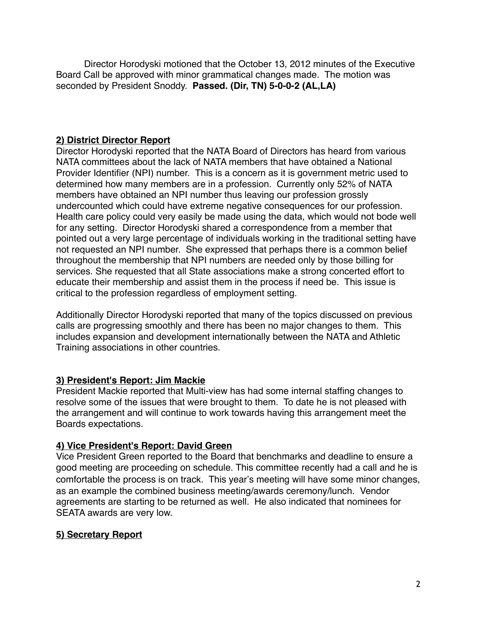Director Horodyski motioned that the October 13, 2012 minutes of the Executive Board Call be approved with minor grammatical changes made. The motion was seconded by President Snoddy. **Passed. (Dir, TN) 5-0-0-2 (AL,LA)**

# **2) District Director Report**

Director Horodyski reported that the NATA Board of Directors has heard from various NATA committees about the lack of NATA members that have obtained a National Provider Identifier (NPI) number. This is a concern as it is government metric used to determined how many members are in a profession. Currently only 52% of NATA members have obtained an NPI number thus leaving our profession grossly undercounted which could have extreme negative consequences for our profession. Health care policy could very easily be made using the data, which would not bode well for any setting. Director Horodyski shared a correspondence from a member that pointed out a very large percentage of individuals working in the traditional setting have not requested an NPI number. She expressed that perhaps there is a common belief throughout the membership that NPI numbers are needed only by those billing for services. She requested that all State associations make a strong concerted effort to educate their membership and assist them in the process if need be. This issue is critical to the profession regardless of employment setting.

Additionally Director Horodyski reported that many of the topics discussed on previous calls are progressing smoothly and there has been no major changes to them. This includes expansion and development internationally between the NATA and Athletic Training associations in other countries.

# **3) President's Report: Jim Mackie**

President Mackie reported that Multi-view has had some internal staffing changes to resolve some of the issues that were brought to them. To date he is not pleased with the arrangement and will continue to work towards having this arrangement meet the Boards expectations.

# **4) Vice President's Report: David Green**

Vice President Green reported to the Board that benchmarks and deadline to ensure a good meeting are proceeding on schedule. This committee recently had a call and he is comfortable the process is on track. This year's meeting will have some minor changes, as an example the combined business meeting/awards ceremony/lunch. Vendor agreements are starting to be returned as well. He also indicated that nominees for SEATA awards are very low.

# **5) Secretary Report**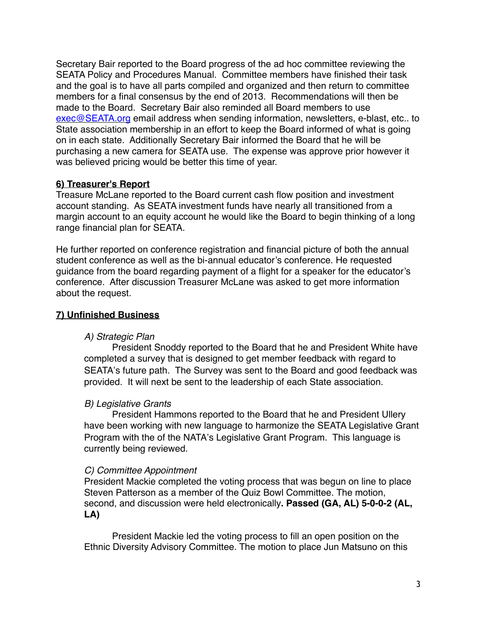Secretary Bair reported to the Board progress of the ad hoc committee reviewing the SEATA Policy and Procedures Manual. Committee members have finished their task and the goal is to have all parts compiled and organized and then return to committee members for a final consensus by the end of 2013. Recommendations will then be made to the Board. Secretary Bair also reminded all Board members to use exec@SEATA.org email address when sending information, newsletters, e-blast, etc.. to State association membership in an effort to keep the Board informed of what is going on in each state. Additionally Secretary Bair informed the Board that he will be purchasing a new camera for SEATA use. The expense was approve prior however it was believed pricing would be better this time of year.

### **6) Treasurer's Report**

Treasure McLane reported to the Board current cash flow position and investment account standing. As SEATA investment funds have nearly all transitioned from a margin account to an equity account he would like the Board to begin thinking of a long range financial plan for SEATA.

He further reported on conference registration and financial picture of both the annual student conference as well as the bi-annual educator's conference. He requested guidance from the board regarding payment of a flight for a speaker for the educator's conference. After discussion Treasurer McLane was asked to get more information about the request.

# **7) Unfinished Business**

#### *A) Strategic Plan*

President Snoddy reported to the Board that he and President White have completed a survey that is designed to get member feedback with regard to SEATA's future path. The Survey was sent to the Board and good feedback was provided. It will next be sent to the leadership of each State association.

#### *B) Legislative Grants*

President Hammons reported to the Board that he and President Ullery have been working with new language to harmonize the SEATA Legislative Grant Program with the of the NATA's Legislative Grant Program. This language is currently being reviewed.

#### *C) Committee Appointment*

President Mackie completed the voting process that was begun on line to place Steven Patterson as a member of the Quiz Bowl Committee. The motion, second, and discussion were held electronically**. Passed (GA, AL) 5-0-0-2 (AL, LA)**

President Mackie led the voting process to fill an open position on the Ethnic Diversity Advisory Committee. The motion to place Jun Matsuno on this